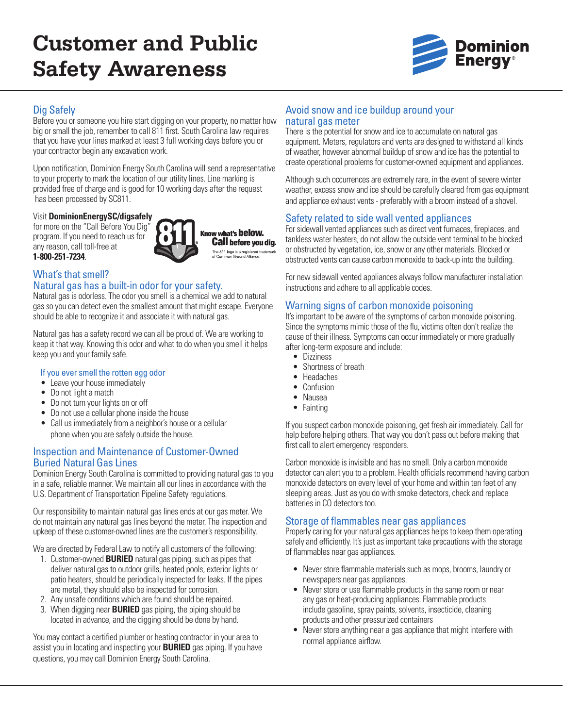# **Customer and Public Safety Awareness**



# Dig Safely

Before you or someone you hire start digging on your property, no matter how big or small the job, remember to call 811 first. South Carolina law requires that you have your lines marked at least 3 full working days before you or your contractor begin any excavation work.

Upon notification, Dominion Energy South Carolina will send a representative to your property to mark the location of our utility lines. Line marking is provided free of charge and is good for 10 working days after the request has been processed by SC811.

## Visit **DominionEnergySC/digsafely**

for more on the "Call Before You Dig" program. If you need to reach us for any reason, call toll-free at **1-800-251-7234**.

Know what's **below. Call before you dig.** The 811 logo is a registered train<br>of Common Ground Alliance.

# What's that smell?

### Natural gas has a built-in odor for your safety.

Natural gas is odorless. The odor you smell is a chemical we add to natural gas so you can detect even the smallest amount that might escape. Everyone should be able to recognize it and associate it with natural gas.

Natural gas has a safety record we can all be proud of. We are working to keep it that way. Knowing this odor and what to do when you smell it helps keep you and your family safe.

### If you ever smell the rotten egg odor

- Leave your house immediately
- Do not light a match
- Do not turn your lights on or off
- Do not use a cellular phone inside the house
- Call us immediately from a neighbor's house or a cellular phone when you are safely outside the house.

# Inspection and Maintenance of Customer-Owned Buried Natural Gas Lines

Dominion Energy South Carolina is committed to providing natural gas to you in a safe, reliable manner. We maintain all our lines in accordance with the U.S. Department of Transportation Pipeline Safety regulations.

Our responsibility to maintain natural gas lines ends at our gas meter. We do not maintain any natural gas lines beyond the meter. The inspection and upkeep of these customer-owned lines are the customer's responsibility.

We are directed by Federal Law to notify all customers of the following:

- 1. Customer-owned **BURIED** natural gas piping, such as pipes that deliver natural gas to outdoor grills, heated pools, exterior lights or patio heaters, should be periodically inspected for leaks. If the pipes are metal, they should also be inspected for corrosion.
- 2. Any unsafe conditions which are found should be repaired.
- 3. When digging near **BURIED** gas piping, the piping should be located in advance, and the digging should be done by hand.

You may contact a certified plumber or heating contractor in your area to assist you in locating and inspecting your **BURIED** gas piping. If you have questions, you may call Dominion Energy South Carolina.

## Avoid snow and ice buildup around your natural gas meter

There is the potential for snow and ice to accumulate on natural gas equipment. Meters, regulators and vents are designed to withstand all kinds of weather, however abnormal buildup of snow and ice has the potential to create operational problems for customer-owned equipment and appliances.

Although such occurrences are extremely rare, in the event of severe winter weather, excess snow and ice should be carefully cleared from gas equipment and appliance exhaust vents - preferably with a broom instead of a shovel.

# Safety related to side wall vented appliances

For sidewall vented appliances such as direct vent furnaces, fireplaces, and tankless water heaters, do not allow the outside vent terminal to be blocked or obstructed by vegetation, ice, snow or any other materials. Blocked or obstructed vents can cause carbon monoxide to back-up into the building.

For new sidewall vented appliances always follow manufacturer installation instructions and adhere to all applicable codes.

# Warning signs of carbon monoxide poisoning

It's important to be aware of the symptoms of carbon monoxide poisoning. Since the symptoms mimic those of the flu, victims often don't realize the cause of their illness. Symptoms can occur immediately or more gradually after long-term exposure and include:

- Dizziness
- Shortness of breath
- Headaches
- Confusion
- Nausea
- Fainting

If you suspect carbon monoxide poisoning, get fresh air immediately. Call for help before helping others. That way you don't pass out before making that first call to alert emergency responders.

Carbon monoxide is invisible and has no smell. Only a carbon monoxide detector can alert you to a problem. Health officials recommend having carbon monoxide detectors on every level of your home and within ten feet of any sleeping areas. Just as you do with smoke detectors, check and replace batteries in CO detectors too.

# Storage of flammables near gas appliances

Properly caring for your natural gas appliances helps to keep them operating safely and efficiently. It's just as important take precautions with the storage of flammables near gas appliances.

- Never store flammable materials such as mops, brooms, laundry or newspapers near gas appliances.
- Never store or use flammable products in the same room or near any gas or heat-producing appliances. Flammable products include gasoline, spray paints, solvents, insecticide, cleaning products and other pressurized containers
- Never store anything near a gas appliance that might interfere with normal appliance airflow.